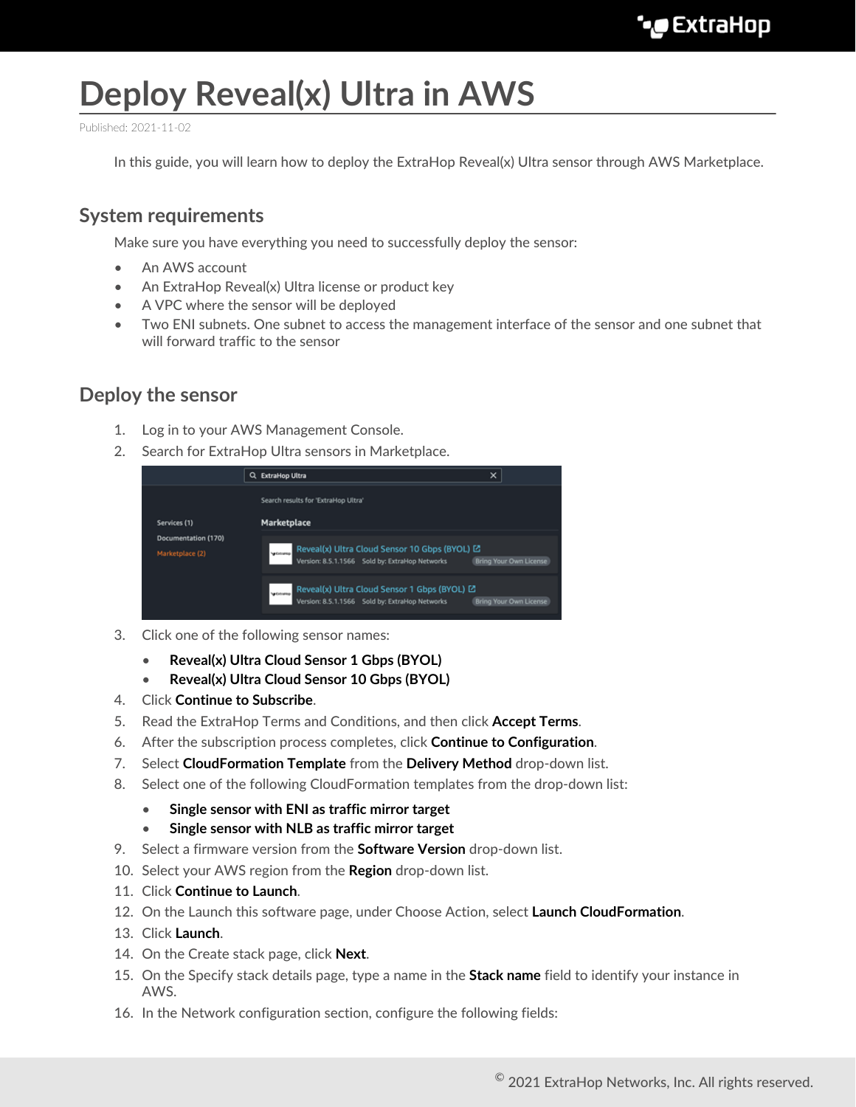# **Deploy Reveal(x) Ultra in AWS**

Published: 2021-11-02

In this guide, you will learn how to deploy the ExtraHop Reveal(x) Ultra sensor through AWS Marketplace.

## **System requirements**

Make sure you have everything you need to successfully deploy the sensor:

- An AWS account
- An ExtraHop Reveal(x) Ultra license or product key
- A VPC where the sensor will be deployed
- Two ENI subnets. One subnet to access the management interface of the sensor and one subnet that will forward traffic to the sensor

### **Deploy the sensor**

- 1. Log in to your AWS Management Console.
- 2. Search for ExtraHop Ultra sensors in Marketplace.

|                                                        | $\times$<br><b>ExtraHop Ultra</b><br>a                                                                                                                      |
|--------------------------------------------------------|-------------------------------------------------------------------------------------------------------------------------------------------------------------|
| Services (1)<br>Documentation (170)<br>Marketplace (2) | Search results for "ExtraHop Ultra"<br>Marketplace                                                                                                          |
|                                                        | Reveal(x) Ultra Cloud Sensor 10 Gbps (BYOL) L2<br>Version: 8.5.1.1566 Sold by: ExtraHop Networks Br<br><b>Selfabration</b><br><b>Bring Your Own License</b> |
|                                                        | Reveal(x) Ultra Cloud Sensor 1 Gbps (BYOL) L'<br>Version: 8.5.1.1566 Sold by: ExtraHop Networks<br><b>Selfabration</b><br><b>Bring Your Own License</b>     |

- 3. Click one of the following sensor names:
	- **Reveal(x) Ultra Cloud Sensor 1 Gbps (BYOL)**
	- **Reveal(x) Ultra Cloud Sensor 10 Gbps (BYOL)**
- 4. Click **Continue to Subscribe**.
- 5. Read the ExtraHop Terms and Conditions, and then click **Accept Terms**.
- 6. After the subscription process completes, click **Continue to Configuration**.
- 7. Select **CloudFormation Template** from the **Delivery Method** drop-down list.
- 8. Select one of the following CloudFormation templates from the drop-down list:
	- **Single sensor with ENI as traffic mirror target**
	- **Single sensor with NLB as traffic mirror target**
- 9. Select a firmware version from the **Software Version** drop-down list.
- 10. Select your AWS region from the **Region** drop-down list.
- 11. Click **Continue to Launch**.
- 12. On the Launch this software page, under Choose Action, select **Launch CloudFormation**.
- 13. Click **Launch**.
- 14. On the Create stack page, click **Next**.
- 15. On the Specify stack details page, type a name in the **Stack name** field to identify your instance in AWS.
- 16. In the Network configuration section, configure the following fields: